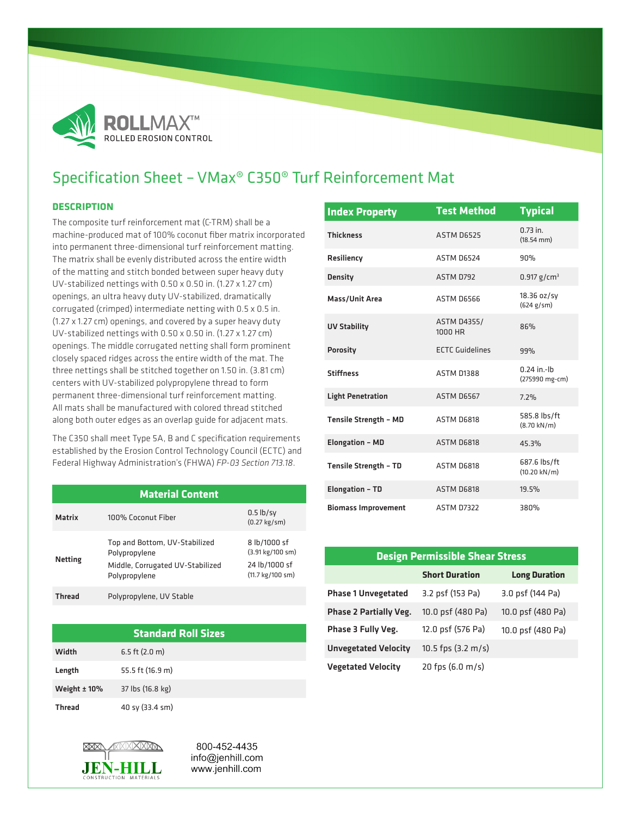

## Specification Sheet – VMax® C350® Turf Reinforcement Mat

## **DESCRIPTION**

The composite turf reinforcement mat (C-TRM) shall be a machine-produced mat of 100% coconut fiber matrix incorporated into permanent three-dimensional turf reinforcement matting. The matrix shall be evenly distributed across the entire width of the matting and stitch bonded between super heavy duty UV-stabilized nettings with 0.50 x 0.50 in. (1.27 x 1.27 cm) openings, an ultra heavy duty UV-stabilized, dramatically corrugated (crimped) intermediate netting with 0.5 x 0.5 in. (1.27 x 1.27 cm) openings, and covered by a super heavy duty UV-stabilized nettings with 0.50 x 0.50 in. (1.27 x 1.27 cm) openings. The middle corrugated netting shall form prominent closely spaced ridges across the entire width of the mat. The three nettings shall be stitched together on 1.50 in. (3.81 cm) centers with UV-stabilized polypropylene thread to form permanent three-dimensional turf reinforcement matting. All mats shall be manufactured with colored thread stitched along both outer edges as an overlap guide for adjacent mats.

The C350 shall meet Type 5A, B and C specification requirements established by the Erosion Control Technology Council (ECTC) and Federal Highway Administration's (FHWA) *FP-03 Section 713.18*.

| <b>Material Content</b> |                                                                                                     |                                                                       |  |  |
|-------------------------|-----------------------------------------------------------------------------------------------------|-----------------------------------------------------------------------|--|--|
| <b>Matrix</b>           | 100% Coconut Fiber                                                                                  | $0.5$ lb/sy<br>$(0.27 \text{ kg/sm})$                                 |  |  |
| <b>Netting</b>          | Top and Bottom, UV-Stabilized<br>Polypropylene<br>Middle, Corrugated UV-Stabilized<br>Polypropylene | 8 lb/1000 sf<br>(3.91 kg/100 sm)<br>24 lb/1000 sf<br>(11.7 kg/100 sm) |  |  |
| <b>Thread</b>           | Polypropylene, UV Stable                                                                            |                                                                       |  |  |

**Standard Roll Sizes**

| <b>Index Property</b>        | <b>Test Method</b>            | <b>Typical</b>                         |
|------------------------------|-------------------------------|----------------------------------------|
| <b>Thickness</b>             | ASTM D6525                    | $0.73$ in.<br>$(18.54$ mm $)$          |
| Resiliency                   | ASTM D6524                    | 90%                                    |
| <b>Density</b>               | <b>ASTM D792</b>              | 0.917 g/cm <sup>3</sup>                |
| Mass/Unit Area               | ASTM D6566                    | 18.36 oz/sy<br>(624 g/sm)              |
| <b>UV Stability</b>          | <b>ASTM D4355/</b><br>1000 HR | 86%                                    |
| <b>Porosity</b>              | <b>ECTC Guidelines</b>        | 99%                                    |
| <b>Stiffness</b>             | <b>ASTM D1388</b>             | $0.24$ in -lh<br>(275990 mg-cm)        |
| <b>Light Penetration</b>     | ASTM D6567                    | 7.2%                                   |
| <b>Tensile Strength - MD</b> | ASTM D6818                    | 585.8 lbs/ft<br>$(8.70 \text{ kN/m})$  |
| <b>Elongation - MD</b>       | ASTM D6818                    | 45.3%                                  |
| <b>Tensile Strength - TD</b> | ASTM D6818                    | 687.6 lbs/ft<br>$(10.20 \text{ kN/m})$ |
| <b>Elongation - TD</b>       | ASTM D6818                    | 19.5%                                  |
| <b>Biomass Improvement</b>   | <b>ASTM D7322</b>             | 380%                                   |

| <b>Design Permissible Shear Stress</b> |                              |                      |  |  |
|----------------------------------------|------------------------------|----------------------|--|--|
|                                        | <b>Short Duration</b>        | <b>Long Duration</b> |  |  |
| <b>Phase 1 Unvegetated</b>             | 3.2 psf (153 Pa)             | 3.0 psf (144 Pa)     |  |  |
| <b>Phase 2 Partially Veg.</b>          | 10.0 psf (480 Pa)            | 10.0 psf (480 Pa)    |  |  |
| Phase 3 Fully Veg.                     | 12.0 psf (576 Pa)            | 10.0 psf (480 Pa)    |  |  |
| <b>Unvegetated Velocity</b>            | 10.5 fps $(3.2 \text{ m/s})$ |                      |  |  |
| <b>Vegetated Velocity</b>              | 20 fps $(6.0 \text{ m/s})$   |                      |  |  |



JEN-HILL

Width 6.5 ft (2.0 m) Length 55.5 ft (16.9 m) Weight ± 10% 37 lbs (16.8 kg)

> 800-452-4435 info@jenhill.com www.jenhill.com